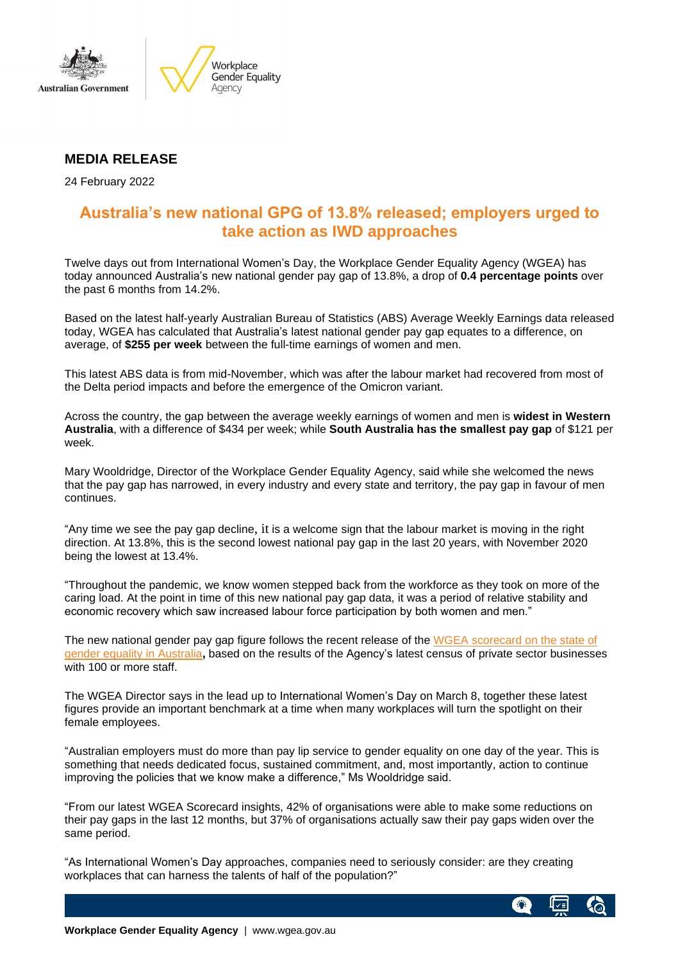



## **MEDIA RELEASE**

24 February 2022

# **Australia's new national GPG of 13.8% released; employers urged to take action as IWD approaches**

Twelve days out from International Women's Day, the Workplace Gender Equality Agency (WGEA) has today announced Australia's new national gender pay gap of 13.8%, a drop of **0.4 percentage points** over the past 6 months from 14.2%.

Based on the latest half-yearly Australian Bureau of Statistics (ABS) Average Weekly Earnings data released today, WGEA has calculated that Australia's latest national gender pay gap equates to a difference, on average, of **\$255 per week** between the full-time earnings of women and men.

This latest ABS data is from mid-November, which was after the labour market had recovered from most of the Delta period impacts and before the emergence of the Omicron variant.

Across the country, the gap between the average weekly earnings of women and men is **widest in Western Australia**, with a difference of \$434 per week; while **South Australia has the smallest pay gap** of \$121 per week.

Mary Wooldridge, Director of the Workplace Gender Equality Agency, said while she welcomed the news that the pay gap has narrowed, in every industry and every state and territory, the pay gap in favour of men continues.

"Any time we see the pay gap decline, it is a welcome sign that the labour market is moving in the right direction. At 13.8%, this is the second lowest national pay gap in the last 20 years, with November 2020 being the lowest at 13.4%.

"Throughout the pandemic, we know women stepped back from the workforce as they took on more of the caring load. At the point in time of this new national pay gap data, it was a period of relative stability and economic recovery which saw increased labour force participation by both women and men."

The new national gender pay gap figure follows the recent release of the WGEA [scorecard](https://www.wgea.gov.au/publications/australias-gender-equality-scorecard) on the state of gender equality in [Australia](https://www.wgea.gov.au/publications/australias-gender-equality-scorecard)**,** based on the results of the Agency's latest census of private sector businesses with 100 or more staff.

The WGEA Director says in the lead up to International Women's Day on March 8, together these latest figures provide an important benchmark at a time when many workplaces will turn the spotlight on their female employees.

"Australian employers must do more than pay lip service to gender equality on one day of the year. This is something that needs dedicated focus, sustained commitment, and, most importantly, action to continue improving the policies that we know make a difference," Ms Wooldridge said.

"From our latest WGEA Scorecard insights, 42% of organisations were able to make some reductions on their pay gaps in the last 12 months, but 37% of organisations actually saw their pay gaps widen over the same period.

"As International Women's Day approaches, companies need to seriously consider: are they creating workplaces that can harness the talents of half of the population?"

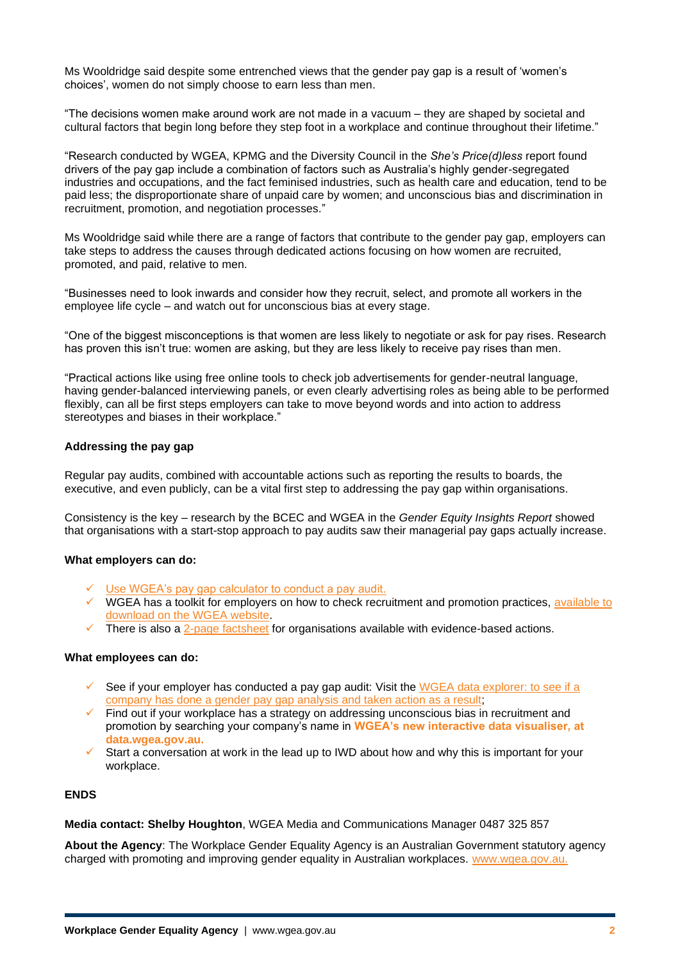Ms Wooldridge said despite some entrenched views that the gender pay gap is a result of 'women's choices', women do not simply choose to earn less than men.

"The decisions women make around work are not made in a vacuum – they are shaped by societal and cultural factors that begin long before they step foot in a workplace and continue throughout their lifetime."

"Research conducted by WGEA, KPMG and the Diversity Council in the *She's Price(d)less* report found drivers of the pay gap include a combination of factors such as Australia's highly gender-segregated industries and occupations, and the fact feminised industries, such as health care and education, tend to be paid less; the disproportionate share of unpaid care by women; and unconscious bias and discrimination in recruitment, promotion, and negotiation processes."

Ms Wooldridge said while there are a range of factors that contribute to the gender pay gap, employers can take steps to address the causes through dedicated actions focusing on how women are recruited, promoted, and paid, relative to men.

"Businesses need to look inwards and consider how they recruit, select, and promote all workers in the employee life cycle – and watch out for unconscious bias at every stage.

"One of the biggest misconceptions is that women are less likely to negotiate or ask for pay rises. Research has proven this isn't true: women are asking, but they are less likely to receive pay rises than men.

"Practical actions like using free online tools to check job advertisements for gender-neutral language, having gender-balanced interviewing panels, or even clearly advertising roles as being able to be performed flexibly, can all be first steps employers can take to move beyond words and into action to address stereotypes and biases in their workplace."

### **Addressing the pay gap**

Regular pay audits, combined with accountable actions such as reporting the results to boards, the executive, and even publicly, can be a vital first step to addressing the pay gap within organisations.

Consistency is the key – research by the BCEC and WGEA in the *Gender Equity Insights Report* showed that organisations with a start-stop approach to pay audits saw their managerial pay gaps actually increase.

### **What employers can do:**

- ✓ [Use WGEA's pay gap calculator to conduct a pay audit.](https://www.wgea.gov.au/tools/the-gender-pay-gap-calculator)
- ✓ WGEA has a toolkit for employers on how to check recruitment and promotion practices, [available to](https://sharedservicescentre-my.sharepoint.com/personal/shelby_houghton_wgea_gov_au/Documents/-%09https:/www.wgea.gov.au/tools/recruitment-and-promotion-guide)  [download on the WGEA website.](https://sharedservicescentre-my.sharepoint.com/personal/shelby_houghton_wgea_gov_au/Documents/-%09https:/www.wgea.gov.au/tools/recruitment-and-promotion-guide)
- There is also a [2-page factsheet](https://www.wgea.gov.au/sites/default/files/documents/Guide_for_organisations.pdf) for organisations available with evidence-based actions.

### **What employees can do:**

- See if your employer has conducted a pay gap audit: Visit the WGEA data explorer: to see if a [company has done a gender pay gap analysis and taken action as a result;](https://data.wgea.gov.au/organisations)
- Find out if your workplace has a strategy on addressing unconscious bias in recruitment and promotion by searching your company's name in **WGEA's new interactive data visualiser, at data.wgea.gov.au.**
- Start a conversation at work in the lead up to IWD about how and why this is important for your workplace.

## **ENDS**

**Media contact: Shelby Houghton**, WGEA Media and Communications Manager 0487 325 857

**About the Agency**: The Workplace Gender Equality Agency is an Australian Government statutory agency charged with promoting and improving gender equality in Australian workplaces. [www.wgea.gov.au.](http://www.wgea.gov.au/)